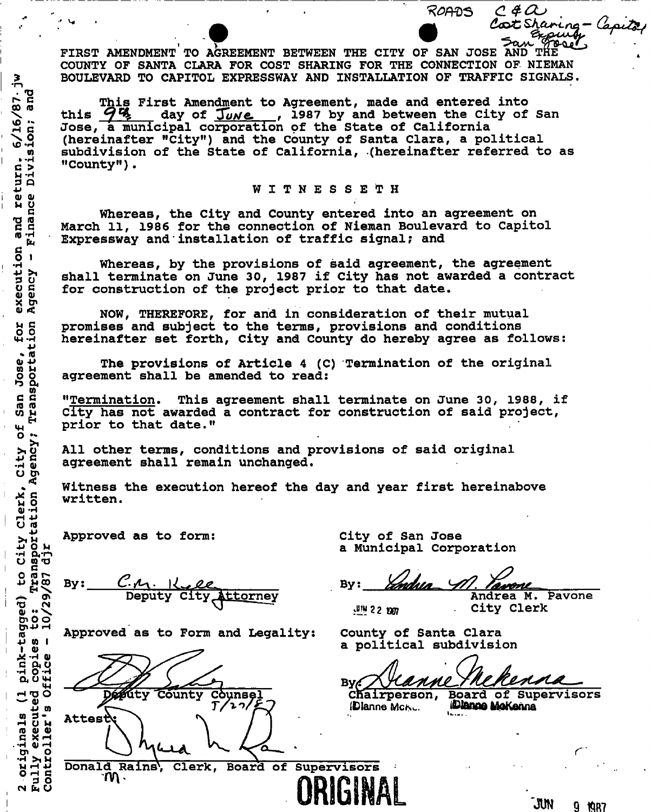**FIRST AMENDMENT TO AGREEMENT BETWEEN THE CITY OF SAN JOSE AND THE ^ ^ COUNTY OF SANTA CLARA FOR COST SHARING FOR THE CONNECTION OF NIEMAN BOULEVARD TO CAPITOL EXPRESSWAY AND INSTALLATION OF TRAFFIC SIGNALS.** 

**This First Amendment to Agreement, made and entered into**  this  $\frac{q}{q}$ , day of  $\frac{Tw}{w}$ , 1987 by and between the City of San **Jose, a municipal corporation pf the State of California (hereinafter "City") and the County of Santa Clara, a political subdivision of the State of California, (hereinafter referred to as "County").** 

#### **WITNESSET H**

**Whereas, the City and County entered into an agreement on March 11, 1986 for the connection of Nieman Boulevard to Capitol Expressway and installation of traffic signal; and** 

**Whereas, by the provisions of said agreement, the agreement shall terminate on June 30, 1987 if City has not awarded a contract for construction of the project prior to that date.** 

**NOW, THEREFORE, for and in consideration of their mutual promises and subject to the terms, provisions and conditions hereinafter set forth, City and County do hereby agree as follows:** 

**The provisions of Article 4 (C) Termination of the original agreement shall be amended to read:** 

**"Termination\* This agreement shall terminate on June 30, 1988, if City has not awarded a contract for construction of said project, prior to that date."** 

**All other terms, conditions and provisions of said original agreement shall remain unchanged.** 

**Witness the execution hereof the day and year first hereinabove written.** 

**Approved as to form: City of San Jose** 

**. rQ**  C

C > **M-H 3 Q**  return.

**<U <D n u <sup>c</sup>'O IQ** 

a<br>ር F1<br>ር

execution<br>Agency - 1 recut:<br>**rency** 

u d<br>A **A**<br>u d

for<br>tion

ge,<br>rtal

ian Jos<br>anspoi

 $\overline{H}$ **M-l**  ty<br>noy<br>no **•P c -H ty** 

 $\mathcal{L}^{\alpha}$ 

ation **rH 4J O H3** 

msport<br>djr

1: Tran<br>1/29/87

 $\mathfrak{a}$ 

originals

2 orig<br>Fully<br>Contro

**\ oo** *m*  **rH G**   $\frac{6}{1}$ 

By: **Deputy City Attorney**  ginals (1 pink-tagged)<br>
'executed copies to:<br>
oller's Office - 10/23

Approved as to Form and Legality: County of Santa Clara

**Donald Rains\ Clerk, Board of Supervisors** 

**Défrity** County Counsel 27/ Attest

**a Municipal Corporation** 

ndua **By:**  rvon

**KB2** 22 1997

**Andrea M. Pavone City Clerk** 

 ${\cal C}$  4  ${\cal C}$ 

CotShaning - Cap

7مەھ

ROADS

**a political subdivision** 

Canne By C

Chairperson, Board of Supervisors<br> **Dianne McAule Advisors (Elanne Mctsi\*. i&femutyoKanna** 

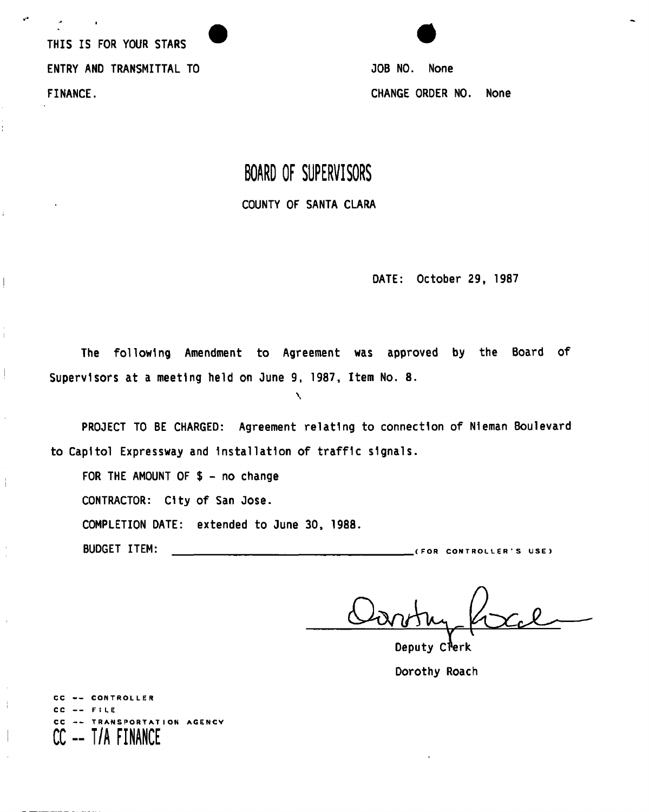THIS IS FOR YOUR STARS ENTRY AND TRANSMITTAL TO JOB NO. None FINANCE. CHANGE ORDER NO. None

 $\overline{\phantom{a}}$ 

# **BOARD OF SUPERVISORS**  COUNTY OF SANTA CLARA

DATE: October 29, 1987

The following Amendment to Agreement was approved by the Board of Supervisors at a meeting held on June 9, 1987, Item No. 8.

**\** 

PROJECT TO BE CHARGED: Agreement relating to connection of Nieman Boulevard to Capitol Expressway and Installation of traffic signals.

FOR THE AMOUNT OF  $$ - no change$ 

CONTRACTOR: City of San Jose.

COMPLETION DATE: extended to June 30, 1988.

BUDGET ITEM: (FO R CONTROLLER' S USE )

Deputy Clerk Dorothy Roach

CC -- CONTROLLER CC -- FILE **SPORTATION AGENCY CC -- T/A FINANCE**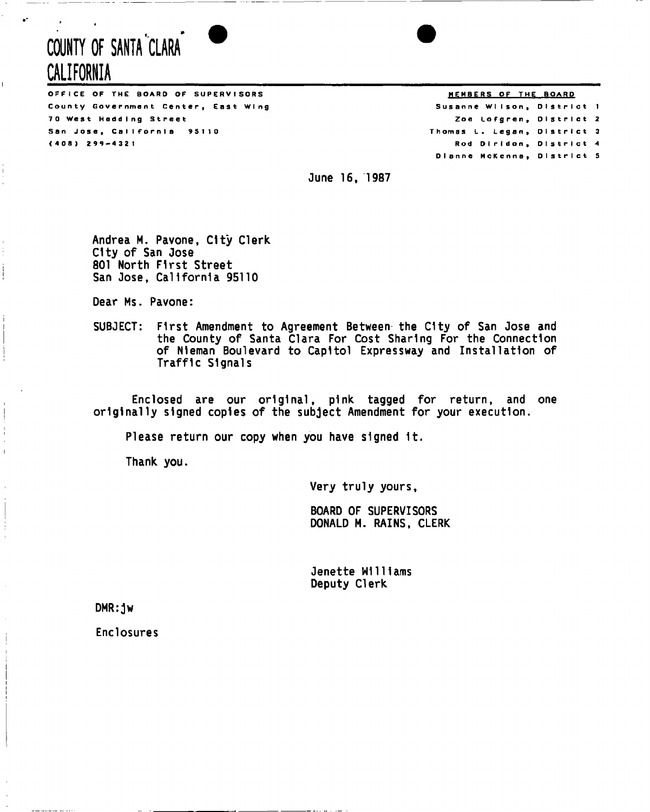# **COUNTY OF SANTA CLARA CALIFORNIA**

OFFICE OF THE BOARD OF SUPERVISORS County Government Center, East Wing 70 West Hedding Street San Jose, California 95110 (408 ) 299-432 1

MEMBERS OF THE BOARD

Susanne Wilson, District 1 Zoe Lofgren, District 2 Thomas L. Legan, District 3 Rod Diridon, District 4 Dianne McKenna, District 5

June 16, 1987

Andrea M. Pavone, City Clerk City of San Jose 801 North First Street San Jose, California 95110

Dear Ms. Pavone:

SUBJECT: First Amendment to Agreement Between the City of San Jose and the County of Santa Clara For Cost Sharing For the Connection of Nleman Boulevard to Capitol Expressway and Installation of Traffic Signals

Enclosed are our original, pink tagged for return, and one originally signed copies of the subject Amendment for your execution.

Please return our copy when you have signed It.

Thank you.

Very truly yours,

BOARD OF SUPERVISORS DONALD M. RAINS, CLERK

Jenette Williams Deputy Clerk

DMR:jw

Enclosures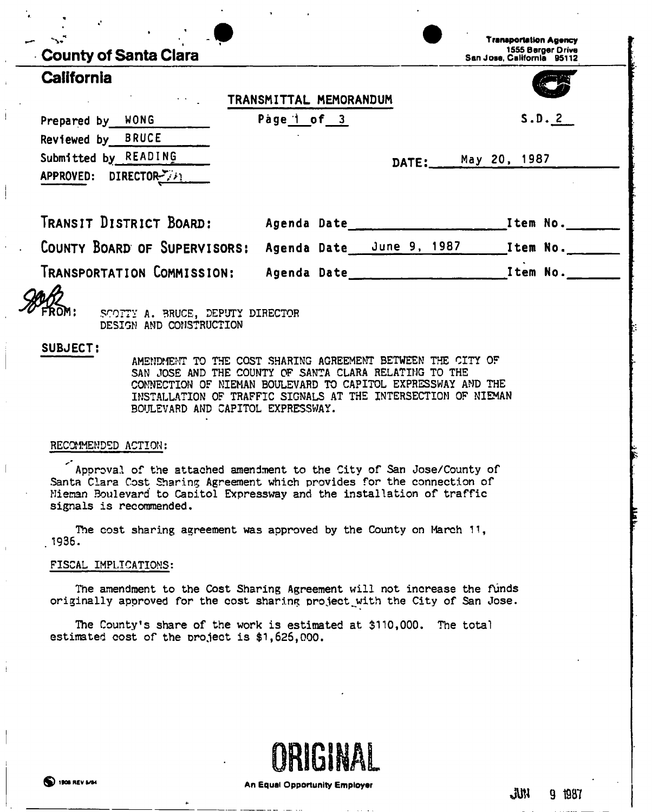| County of Santa Clara                                                                                                                                                                                                                                                                                                                     |  |       | San Jose, California 95112 | 1555 Berger Drive |
|-------------------------------------------------------------------------------------------------------------------------------------------------------------------------------------------------------------------------------------------------------------------------------------------------------------------------------------------|--|-------|----------------------------|-------------------|
| <b>California</b>                                                                                                                                                                                                                                                                                                                         |  |       |                            |                   |
| TRANSMITTAL MEMORANDUM                                                                                                                                                                                                                                                                                                                    |  |       |                            |                   |
| Prepared by WONG Page 1 of 3                                                                                                                                                                                                                                                                                                              |  |       |                            | S.D. 2            |
| Reviewed by BRUCE                                                                                                                                                                                                                                                                                                                         |  |       |                            |                   |
| Submitted by READING                                                                                                                                                                                                                                                                                                                      |  | DATE: | May 20, 1987               |                   |
| APPROVED: DIRECTOR-7741                                                                                                                                                                                                                                                                                                                   |  |       |                            |                   |
|                                                                                                                                                                                                                                                                                                                                           |  |       |                            |                   |
|                                                                                                                                                                                                                                                                                                                                           |  |       |                            |                   |
|                                                                                                                                                                                                                                                                                                                                           |  |       |                            |                   |
| DESIGN AND CONSTRUCTION<br><b>SUBJECT:</b><br>AMENDMENT TO THE COST SHARING AGREEMENT BETWEEN THE CITY OF<br>SAN JOSE AND THE COUNTY OF SANTA CLARA RELATING TO THE<br>COMNECTION OF NIEMAN BOULEVARD TO CAPITOL EXPRESSWAY AND THE<br>INSTALLATION OF TRAFFIC SIGNALS AT THE INTERSECTION OF NIEMAN<br>BOULEVARD AND CAPITOL EXPRESSWAY. |  |       |                            |                   |
| RECOMMENDED ACTION:                                                                                                                                                                                                                                                                                                                       |  |       |                            |                   |
| Approval of the attached amendment to the City of San Jose/County of<br>Santa Clara Cost Sharing Agreement which provides for the connection of<br>Mieman Boulevard to Capitol Expressway and the installation of traffic<br>signals is recommended.                                                                                      |  |       |                            |                   |
| The cost sharing agreement was approved by the County on March 11,<br>1936.                                                                                                                                                                                                                                                               |  |       |                            |                   |
|                                                                                                                                                                                                                                                                                                                                           |  |       |                            |                   |

The County's share of the work is estimated at \$110,000. The total estimated cost of the project is \$1,626,000.



 $\bar{1}$ 

M 9 1987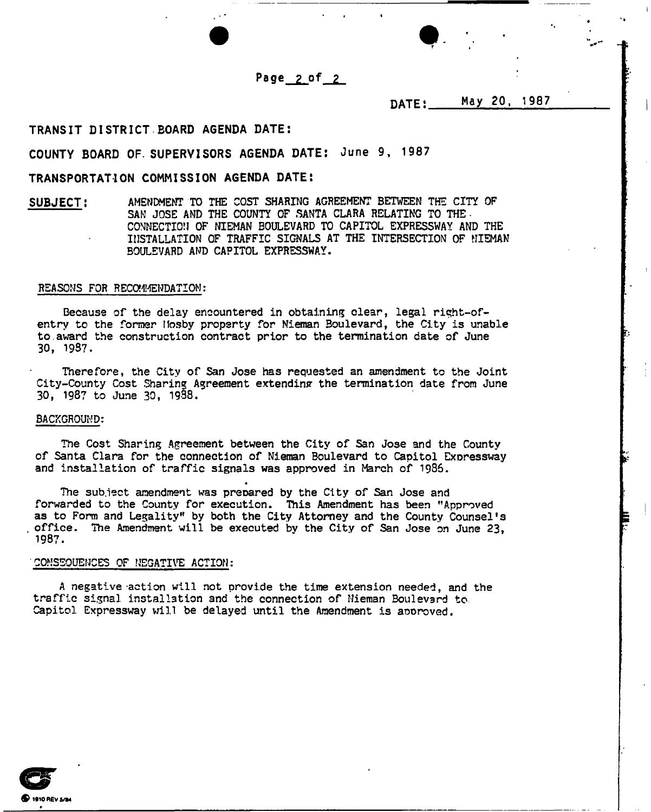Page *2 of 2* 

DATE: May 20, 1987

## TRANSIT DISTRICT.BOARD AGENDA DATE:

# COUNTY BOARD OF. SUPERVISORS AGENDA DATE: June 9, 1987

# TRANSPORTATION COMMISSION AGENDA DATE:

SUBJECT: AMENDMENT TO THE COST SHARING AGREEMENT BETWEEN THE CITY OF SAM JOSE AND THE COUNTY OF SANTA CLARA RELATING TO THE. CONNECTION OF NIEMAN BOULEVARD TO CAPITOL EXPRESSWAY AND THE INSTALLATION OF TRAFFIC SIGNALS AT THE INTERSECTION OF NIEMAN BOULEVARD AND CAPITOL EXPRESSWAY.

### REASONS FOR RECOMMENDATION:

Because of the delay encountered in obtaining clear, legal right-ofentry to the former Mosby property for Nieman Boulevard, the City is unable to award the construction contract prior to the termination date of June 30, 1987.

Therefore, the City of San Jose has requested an amendment to the Joint City-County Cost Sharing Agreement extending the termination date from June 30, 1987 to June 30, 1938.

#### BACKGROUND:

The Cost Sharing Agreement between the City of San Jose and the County of Santa Clara for the connection of Nieman Boulevard to Capitol Exoressway and installation of traffic signals was approved in March of 1936.

The subject amendment was prepared by the City of San Jose and forwarded to the County for execution. This Amendment has been "Approved as to Form and Legality" by both the City Attorney and the County Counsel's office. The Amendment will be executed bv the City of San Jose on June 23, 1987.

#### CONSEQUENCES OF NEGATIVE ACTION:

A negative-action will not provide the time extension needed, and the traffic signal installation and the connection of Nieman Boulevard to Capitol Expressway will be delayed until the Amendment is aooroved.

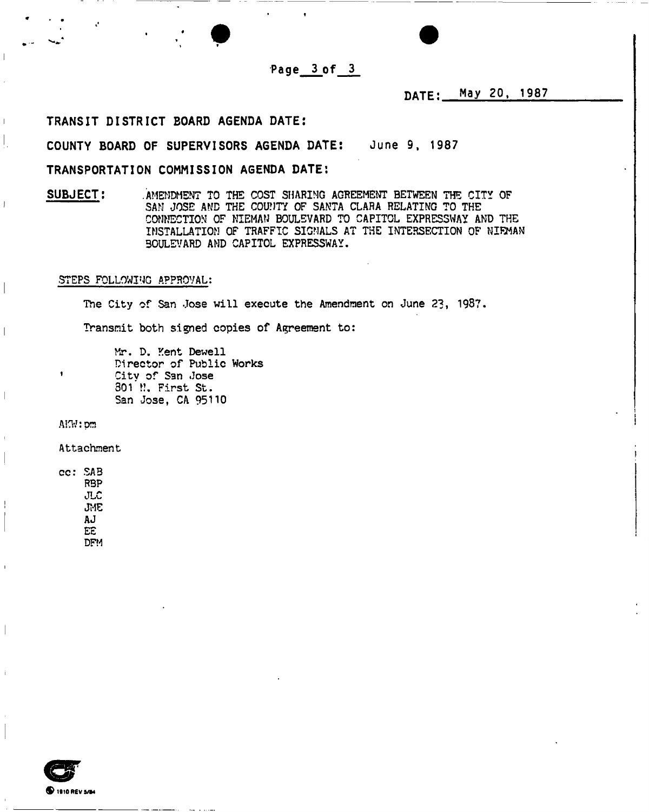Page 3 of 3

DATE: May 20, 1987

# TRANSIT DISTRICT BOARD AGENDA DATE:

COUNTY BOARD OF SUPERVISORS AGENDA DATE: June 9, 1987

# TRANSPORTATION COMMISSION AGENDA DATE:

SUBJECT: . . AMENDMENT TO THE COST SHARING AGREEMENT BETWEEN THE CITY OF SAM JOSE AND THE COUNTY OF SANTA CLARA RELATING TO THE CONNECTION OF NIEMAN BOULEVARD TO CAPITOL EXPRESSWAY AND THE INSTALLATION OF TRAFFIC SIGNALS AT THE INTERSECTION OF NIEMAN BOULEVARD AMD CAPITOL EXPRESSWAY.

## STEPS FOLLOWING APPROVAL:

The City of San Jose will execute the Amendment on June 23, 1987.

Transmit both signed copies of Agreement to:

Mr. D. Kent Dewell Director of Public Works Citv of San Jose 301 N. First St. San Jose, CA 95110

AKW:pm

 $\bullet$ 

 $\mathsf I$  $\mathbf{I}$ 

 $\mathbf{I}$ 

Attachment

cc: SAB R9P JLC JME AJ EE DFM

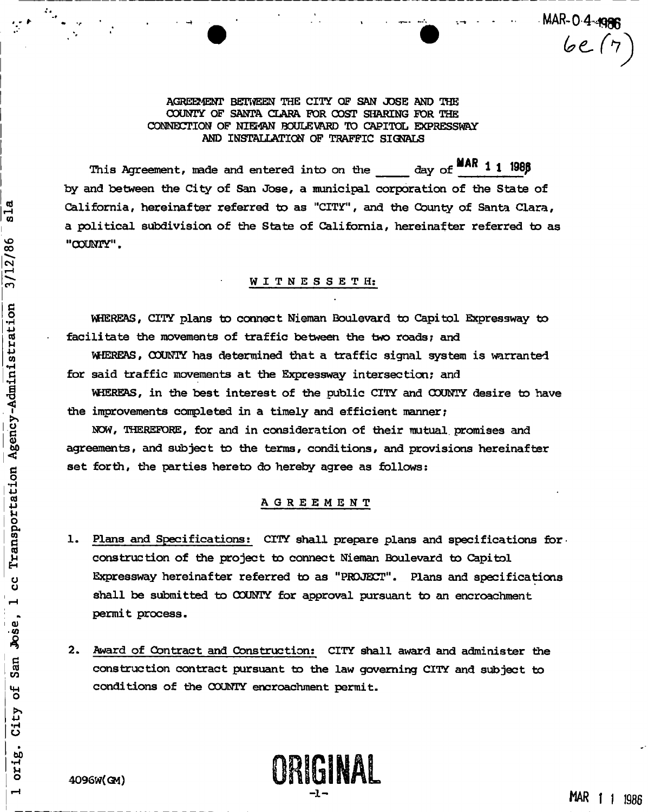**MAR-0-4-4996** 

 $be(7)$ 

**AGREEMENT BETtflEEN THE CITY OF SAN JOSE AND THE COUNTY QP SANTA CLARA FOR COST SHARING FOR THE CONNECTION OF NIE24AN BOULEVARD TO CAPITOL EXPRESSWAY AND INSTALLATION OF TRAFFIC SIGNALS** 

This Agreement, made and entered into on the day of  $\frac{11!}{1000}$ **by and between the City of San Jose, a municipal corporation of the State of California, hereinafter referred to as "CITY", and the County of Santa Clara, a political subdivision of the State of California, hereinafter referred to as "COUNTY".** 

# WITNESSETH:

**WHEREAS, CITY plans to connect Nieraan Boulevard** *to* **Capitol Expressway to facilitate the movements of traffic between the two roads; and** 

**WHEREAS, COUNTY has determined that a traffic signal system is warranted for said traffic movements at the Expressway intersection; and** 

**VHEREAS, in the best interest of the public CITY and COUNTY desire to have the improvements completed in a timely and efficient manner;** 

**NOW, THEREFORE, for and in consideration of their mutual, promises and agreements, and subject to the terms, conditions, and provisions hereinafter set forth, the parties hereto do hereby agree as follows:** 

## **AGREEMEN T**

- **1. Plans and Specifications; CITY shall prepare plans and specifications for construction of the project to connect Nieman Boulevard to Capitol Expressway hereinafter referred to as "PROJECT". Plans and specifications shall be submitted to COUNTY for approval pursuant to an encroachment permit process.**
- **2. Award of Contract and Construction: CITY shall award and administer the construction contract pursuant to the law governing CITY and subject to conditions of the COUNTY encroachment permit.**

님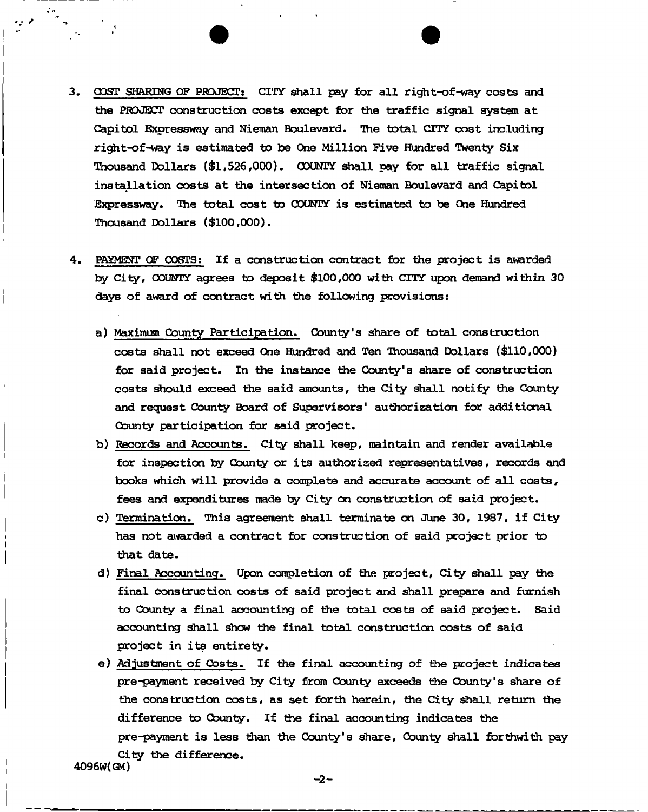- 3. COST SHARING OF PROJECT: CITY shall pay for all right-of-way costs and **the PROJECT construction costs except for the traffic signal system at Capitol Expressway and Nieman Boulevard. The total CITY cost including**  right-of-way is estimated to be One Million Five Hundred Twenty Six **Thousand Dollars (\$1,526,000). COUNTY shall pay for all traffic signal installation costs at the intersection of Nieman Boulevard and Capitol**  Expressway. The total cost to COUNTY is estimated to be One Hundred **Thousand Dollars (\$100,000).**
- **4 . PAYMENT OF COSTS; If a construction contract for the project is awarded**  by City, COUNTY agrees to deposit \$100,000 with CITY upon demand within 30 **days of award of contract with the following provisions:** 
	- **a) Maximum County Participation. County's share of total construction costs shall not exceed One Hundred and Ten Thousand Dollars (\$110,000) for said project. In the instance the County's share of construction costs should exceed the said amounts, the City shall notify the County and request County Board of Supervisors' authorization for additional County participation for said project.**
	- **b) Records and Accounts. City shall keep, maintain and render available for inspection by County or its authorized representatives, records and books which will provide a complete and accurate account of all costs, fees and expenditures trade by City on construction of said project.**
	- **c) Termination. This agreement shall terminate on June 30, 1987, if City has not awarded a contract for construction of said project prior to that date.**
	- **d) Final Accounting. Upon completion of the project, City shall pay the final construction costs of said project and shall prepare and furnish to County a final accounting of the total costs of said project. Said accounting shall show the final total construction costs of said project in its entirety.**
- **e) Adjustment of Costs. If the final accounting of the project indicates pre-payment received by City from County exceeds the County's share of the construction costs, as set forth herein, the City shall return the difference to County. If the final accounting indicates the pre-payment is less than the County's share, County shall forthwith pay City the difference. 4096W(GM)**

-2-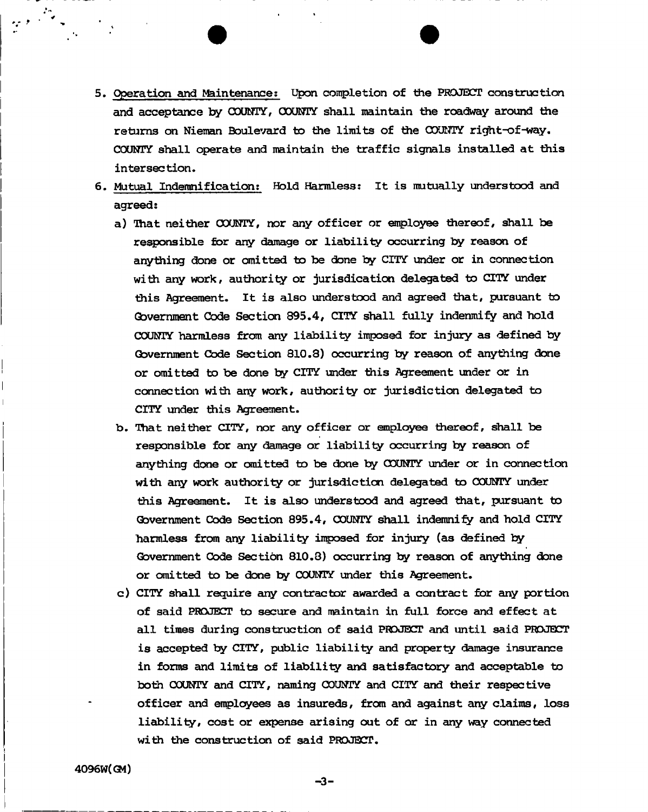**5. Operation and Maintenance: Upon completion of the PROJECT cons true tion and acceptance by COUNTY, COUNTY shall maintain the roadway around the returns on Nieman Boulevard to the limits of the COUNTY right-of-way. COUNTY shall operate and maintain the traffic signals installed at this intersection.** 

**• •** 

- **6 . Mutual Indemnification; Hold Harmless: It is mutually understood and agreed:** 
	- **a) That neither COUNTY, nor any officer or employee thereof, shall be responsible for any damage or liability occurring by reason of anything done or omitted to be done by CITY under or in connection with any work, authority or jurisdication delegated to CITY under this Agreement. It is also understood and agreed that, pursuant to Government Code Section 895.4, CITY shall fully indemnify and hold COUNTY harmless from any liability imposed for injury as defined by Government Code Section 810.3) occurring by reason of anything done or omitted to be done by CITY under this Agreement under or in connection with any work, authority or jurisdiction delegated to CITY under this Agreement,**
	- **b . That neither CITY, nor any officer or employee thereof, shall be responsible for any damage or liability occurring by reason of anything done or omitted to be done by COUNTY under or in connection with any work authority or jurisdiction delegated to COUNTY under this Agreement. It is also understood and agreed that, pursuant to Government Code Section 895.4, COUNTY shall indemnify and hold CITY harmless from any liability imposed for injury (as defined by Government Code Section 810.3) occurring by reason of anything done or omitted to be done by COUNTY under this Agreement,**
	- **c) CITY shall require any contractor awarded a contract for any portion of said PROJECT to secure and maintain in full force and effect at all times during construction of said PROJECT and until said PROJECT is accepted by CITY, public liability and property damage insurance in forms and limits of liability and satisfactory and acceptable to both COUNTY and CITY, naming COUNTY and CITY and their respective officer and employees as insureds, from and against any claims, loss liability, cost or expense arising out of or in any** *way* **connected with the construction of said PROJECT.**

-3-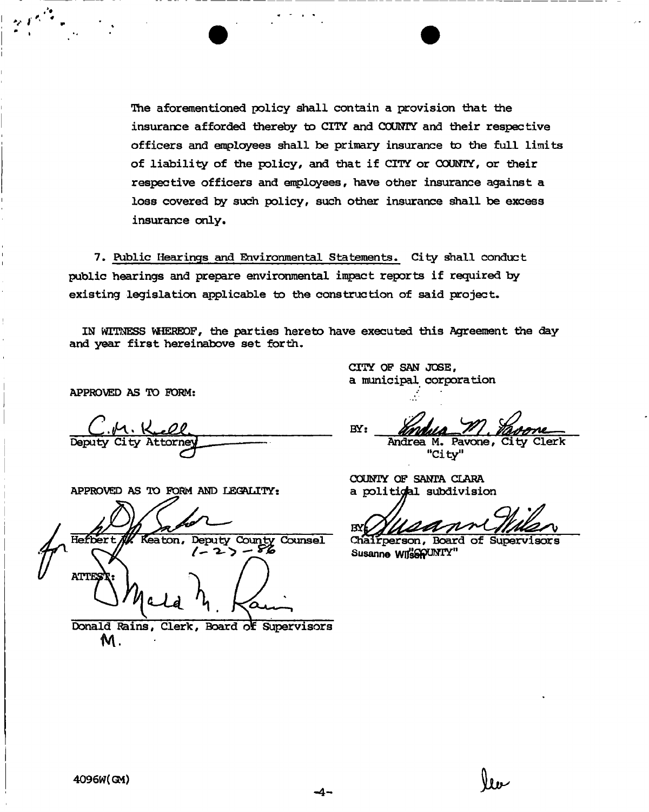**The aforementioned policy shall contain a provision that the insurance afforded thereby to CITY and COUNTY and their respective officers and employees shall be primary insurance to the full limits of liability of the policy, and that if CITY or COUNTY, or their respective officers and employees, have other insurance against a loss covered by such policy, such other insurance shall be excess insurance only.** 

**7. Public Hearings and Environmental Statements. City shall conduct public hearings and prepare environmental impact reports if required by existing legislation applicable to the construction of said project.** 

**IN WITNESS WHEREOF, the parties hereto have executed this Agreement the day and year first hereinabove set forth.** 

**APPROVED AS TO FORM:** 

**Deputy City Attorney Mandrea M. Pavone, City Clerk** 

APPROVED AS TO FORM AND LEGALITY:

Hefbert // Keaton, Deputy County Counsel Chairperson, Board of Supervisors  $2$ ) **ATT** 

**Donald Rains, Clerk, Board ot Supervisors**  M .

**CITY OP SAN JOSE, a municipal corporation** 

**BSf:** 

**"City"** 

**COUNTY OP SANTA CLARA**  a politigal subdivision

Susanne WijserUNI'Y"

سوو کا کا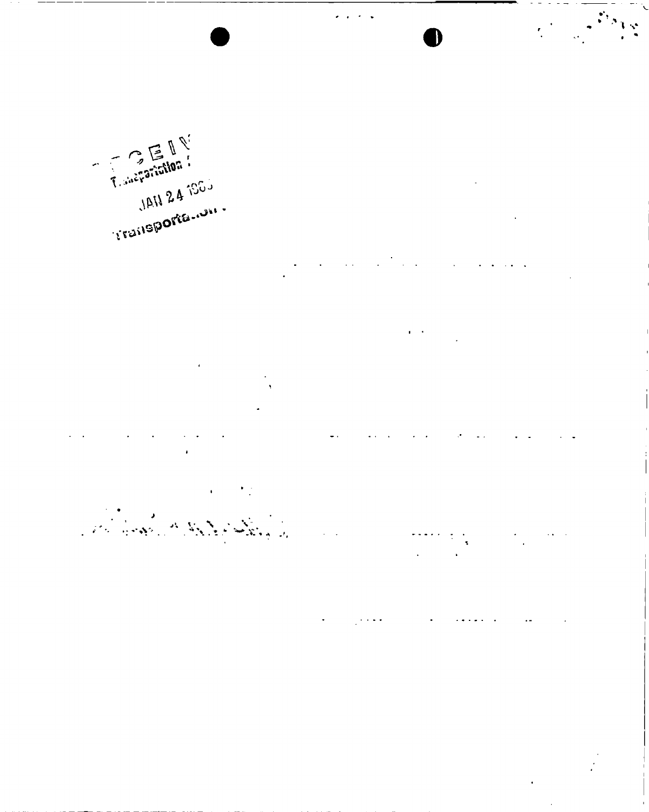*n*  irarisilan<br>JAN 24 1995 **A-**TRU 24 100

 $\hat{\mathbf{r}}$  ,  $\hat{\mathbf{r}}$ 

**v. v \ - V \** *-m* **t» W V** 

 $\ddot{\cdot}$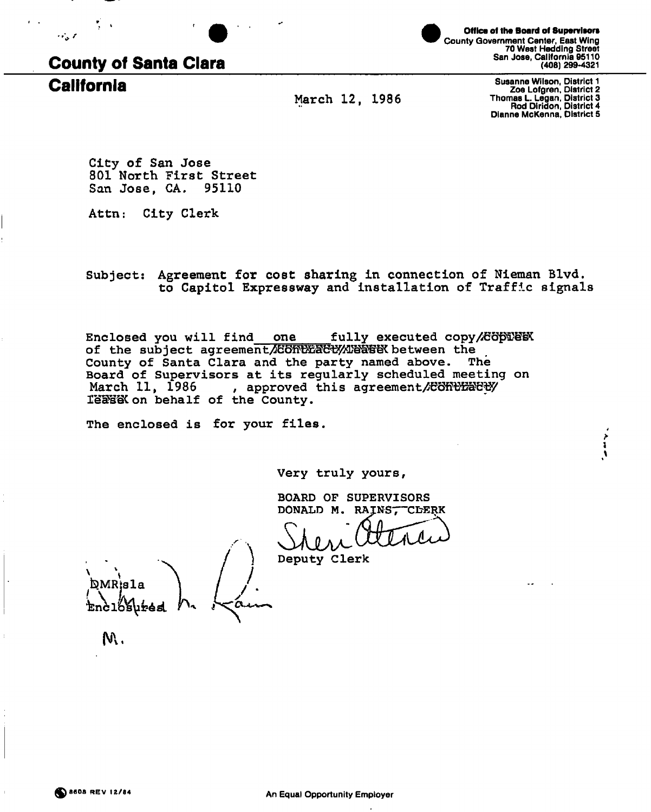



County Government Center, East Wing 70 West Hedding Street San Jose, California 95110 (408) 299-4321 **Office of the Board of Supervisors** 

**March 12, 1986** 

**California** Susanne Wilson, District 1 Zoe Lofgren, District 2 Thomas L. Legan, District 3 Rod Diridon, District 4 Dianne McKenna, District S

> **i**  *\*

**City of San Jose 801 North First Street San Jose, CA. 95110** 

**Attn: City Clerk** 

Subject: Agreement for cost sharing in connection of Nieman Blvd. **to Capitol Expressway and installation of Traffic signals** 

Enclosed you will find one fully executed copy/Göble **Enclosed** of the subject agreement/CONUERCU/MERSEN between the **County of Santa Clara and the party named above. The Board of Supervisors at its regularly scheduled meeting on**  March 11, 1986 , approved this agreement/EORtEaCty **ISSHSCon behalf of the County.** 

**The enclosed is for your files.** 

**Very truly yours** 

Deputy Clerk

**BOARD OF SUPERVISORS DONALD M. RAINS, CLERK** 

DMR:s1a

M.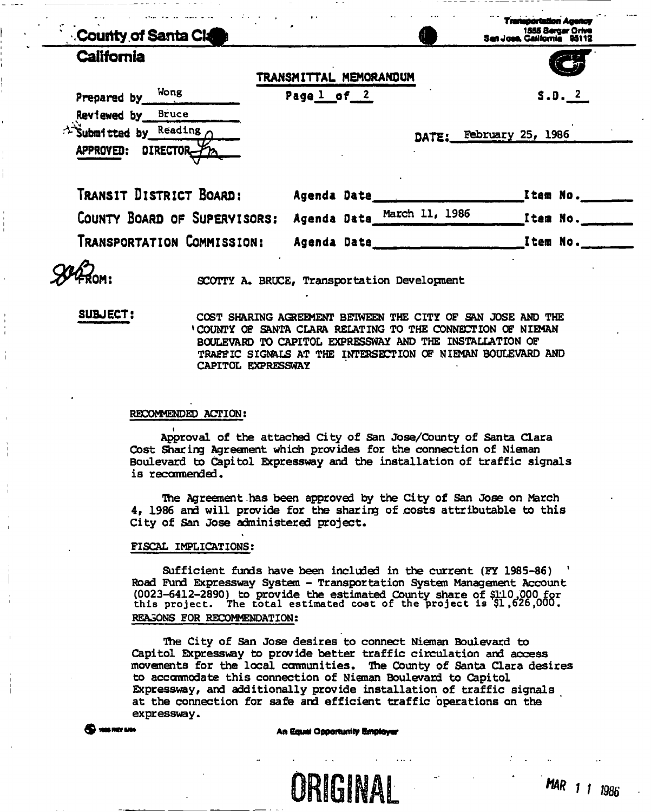| <b>County of Santa Clarks</b>                                         |                        |                | asortation Agency<br>1555 Berger Orive<br>San Jose, California 95112 |
|-----------------------------------------------------------------------|------------------------|----------------|----------------------------------------------------------------------|
| <b>California</b>                                                     | TRANSMITTAL MEMORANDUM |                |                                                                      |
| Wong<br>Prepared by                                                   | Page 1 of 2            |                | S.D. 2                                                               |
| Reviewed by Bruce<br>A Submitted by Reading<br>DIRECTOR-<br>APPROVED: |                        |                | DATE: February 25, 1986                                              |
| Transit District Board:                                               | Agenda Date            |                | _Item No.__                                                          |
| COUNTY BOARD OF SUPERVISORS:                                          | Agenda Data_           | March 11, 1986 | Item No.                                                             |
| Transportation Commission:                                            | Agenda Date            |                | Item No.                                                             |

**SCOTTY A. BRUCE, Transportation Developnent** 

**SUBJECT! COST SHARING AGREEMENT BETWEEN THE CITY OF SAN JOSE AND THE 'COUNTY OF SANTA CLARA RELATING TO THE CONNECTION OF NIEMAN BOULEVARD TO CAPITOL EXPRESSWAY AND THE INSTALLATION OF TRAFFIC SIGNALS AT THE INTERSECTION OF NIEMAN BOULEVARD AND CAPITOL EXPRESSWAY** 

## **RECOMMENDED ACTION;**

**i Approval of the attached City of San Jose/County of Santa Clara Cost Sharing Agreenent which provides for the connection of Nieman Boulevard to Capitol Expressway and the installation of traffic signals is recommended.** 

**The Agreement has been approved by the City of San Jose on March 4r 1986 and will provide for the sharing of .costs attributable to this City of San Jose administered project.** 

# **FISCAL IMPLICATIONS:**

**Sufficient funds have been included in the current (FY 1985-86) 1 Road Fund Expressway System - Transportation System Management Account (0023-6412-2890) to provide the estimated County share of \$110.000** for this project. The total estimated coat of the project is **\$1,526,000. REASONS FOR RECOMMENDATION;** 

**Hie City of San Jose desires to connect Nieman Boulevard to Capitol Expressway to provide better traffic circulation and access movements for the local ccmtiunities. The County of Santa Clara desires to accommodate this connection of Nieman Boulevard to Capitol Expressway, and additionally provide installation of traffic signals at the connection for safe and efficient traffic operations on the expressway.** 



# **3 we have a set of the set of the South Opportunity Bmployer**